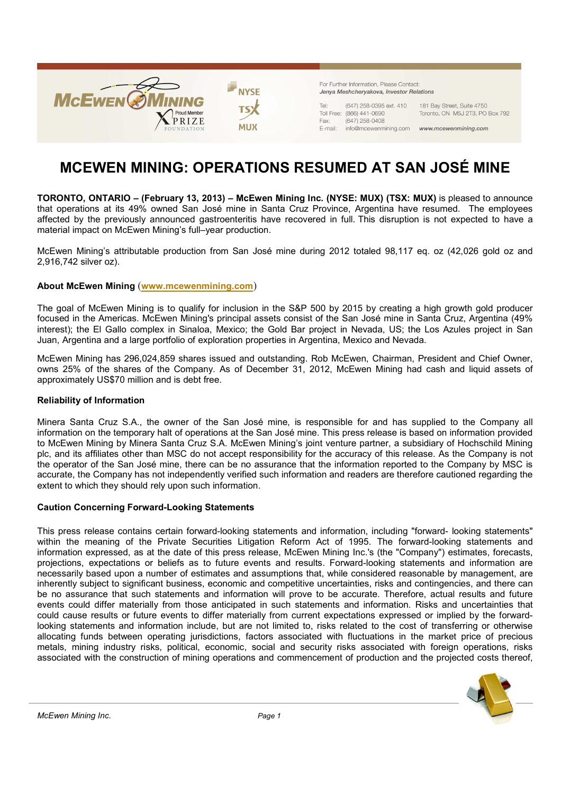

For Further Information, Please Contact: Jenya Meshcheryakova, Investor Relations

(647) 258-0395 ext. 410 Toll Free: (866) 441-0690 Fax: (647) 258-0408 E-mail: info@mcewenmining.com 181 Bay Street, Suite 4750 Toronto, ON M5J 2T3, PO Box 792

www.mcewenmining.com

## MCEWEN MINING: OPERATIONS RESUMED AT SAN JOSÉ MINE

TORONTO, ONTARIO – (February 13, 2013) – McEwen Mining Inc. (NYSE: MUX) (TSX: MUX) is pleased to announce that operations at its 49% owned San José mine in Santa Cruz Province, Argentina have resumed. The employees affected by the previously announced gastroenteritis have recovered in full. This disruption is not expected to have a material impact on McEwen Mining's full–year production.

McEwen Mining's attributable production from San José mine during 2012 totaled 98,117 eq. oz (42,026 gold oz and 2,916,742 silver oz).

## About McEwen Mining (www.mcewenmining.com)

The goal of McEwen Mining is to qualify for inclusion in the S&P 500 by 2015 by creating a high growth gold producer focused in the Americas. McEwen Mining's principal assets consist of the San José mine in Santa Cruz, Argentina (49% interest); the El Gallo complex in Sinaloa, Mexico; the Gold Bar project in Nevada, US; the Los Azules project in San Juan, Argentina and a large portfolio of exploration properties in Argentina, Mexico and Nevada.

McEwen Mining has 296,024,859 shares issued and outstanding. Rob McEwen, Chairman, President and Chief Owner, owns 25% of the shares of the Company. As of December 31, 2012, McEwen Mining had cash and liquid assets of approximately US\$70 million and is debt free.

## Reliability of Information

Minera Santa Cruz S.A., the owner of the San José mine, is responsible for and has supplied to the Company all information on the temporary halt of operations at the San José mine. This press release is based on information provided to McEwen Mining by Minera Santa Cruz S.A. McEwen Mining's joint venture partner, a subsidiary of Hochschild Mining plc, and its affiliates other than MSC do not accept responsibility for the accuracy of this release. As the Company is not the operator of the San José mine, there can be no assurance that the information reported to the Company by MSC is accurate, the Company has not independently verified such information and readers are therefore cautioned regarding the extent to which they should rely upon such information.

## Caution Concerning Forward-Looking Statements

This press release contains certain forward-looking statements and information, including "forward- looking statements" within the meaning of the Private Securities Litigation Reform Act of 1995. The forward-looking statements and information expressed, as at the date of this press release, McEwen Mining Inc.'s (the "Company") estimates, forecasts, projections, expectations or beliefs as to future events and results. Forward-looking statements and information are necessarily based upon a number of estimates and assumptions that, while considered reasonable by management, are inherently subject to significant business, economic and competitive uncertainties, risks and contingencies, and there can be no assurance that such statements and information will prove to be accurate. Therefore, actual results and future events could differ materially from those anticipated in such statements and information. Risks and uncertainties that could cause results or future events to differ materially from current expectations expressed or implied by the forwardlooking statements and information include, but are not limited to, risks related to the cost of transferring or otherwise allocating funds between operating jurisdictions, factors associated with fluctuations in the market price of precious metals, mining industry risks, political, economic, social and security risks associated with foreign operations, risks associated with the construction of mining operations and commencement of production and the projected costs thereof,



McEwen Mining Inc. **Page 1**